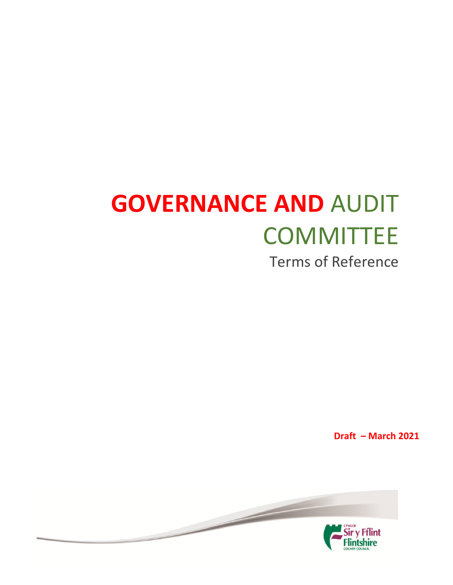# **GOVERNANCE AND** AUDIT **COMMITTEE**

Terms of Reference

**Draft – March 2021**

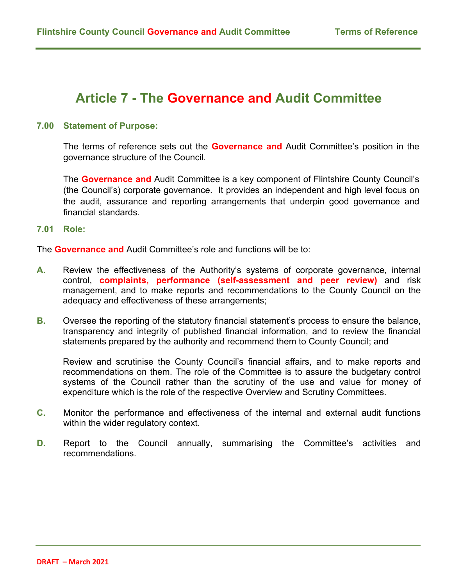# **Article 7 - The Governance and Audit Committee**

#### **7.00 Statement of Purpose:**

The terms of reference sets out the **Governance and** Audit Committee's position in the governance structure of the Council.

The **Governance and** Audit Committee is a key component of Flintshire County Council's (the Council's) corporate governance. It provides an independent and high level focus on the audit, assurance and reporting arrangements that underpin good governance and financial standards.

**7.01 Role:**

The **Governance and** Audit Committee's role and functions will be to:

- **A.** Review the effectiveness of the Authority's systems of corporate governance, internal control, **complaints, performance (self-assessment and peer review)** and risk management, and to make reports and recommendations to the County Council on the adequacy and effectiveness of these arrangements;
- **B.** Oversee the reporting of the statutory financial statement's process to ensure the balance, transparency and integrity of published financial information, and to review the financial statements prepared by the authority and recommend them to County Council; and

Review and scrutinise the County Council's financial affairs, and to make reports and recommendations on them. The role of the Committee is to assure the budgetary control systems of the Council rather than the scrutiny of the use and value for money of expenditure which is the role of the respective Overview and Scrutiny Committees.

- **C.** Monitor the performance and effectiveness of the internal and external audit functions within the wider regulatory context.
- **D.** Report to the Council annually, summarising the Committee's activities and recommendations.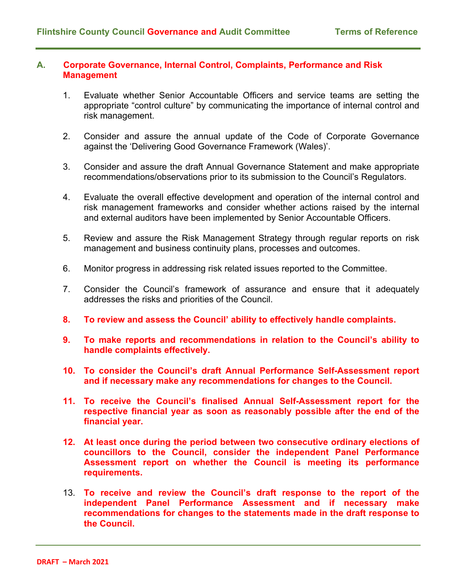#### **A. Corporate Governance, Internal Control, Complaints, Performance and Risk Management**

- 1. Evaluate whether Senior Accountable Officers and service teams are setting the appropriate "control culture" by communicating the importance of internal control and risk management.
- 2. Consider and assure the annual update of the Code of Corporate Governance against the 'Delivering Good Governance Framework (Wales)'.
- 3. Consider and assure the draft Annual Governance Statement and make appropriate recommendations/observations prior to its submission to the Council's Regulators.
- 4. Evaluate the overall effective development and operation of the internal control and risk management frameworks and consider whether actions raised by the internal and external auditors have been implemented by Senior Accountable Officers.
- 5. Review and assure the Risk Management Strategy through regular reports on risk management and business continuity plans, processes and outcomes.
- 6. Monitor progress in addressing risk related issues reported to the Committee.
- 7. Consider the Council's framework of assurance and ensure that it adequately addresses the risks and priorities of the Council.
- **8. To review and assess the Council' ability to effectively handle complaints.**
- **9. To make reports and recommendations in relation to the Council's ability to handle complaints effectively.**
- **10. To consider the Council's draft Annual Performance Self-Assessment report and if necessary make any recommendations for changes to the Council.**
- **11. To receive the Council's finalised Annual Self-Assessment report for the respective financial year as soon as reasonably possible after the end of the financial year.**
- **12. At least once during the period between two consecutive ordinary elections of councillors to the Council, consider the independent Panel Performance Assessment report on whether the Council is meeting its performance requirements.**
- 13. **To receive and review the Council's draft response to the report of the independent Panel Performance Assessment and if necessary make recommendations for changes to the statements made in the draft response to the Council.**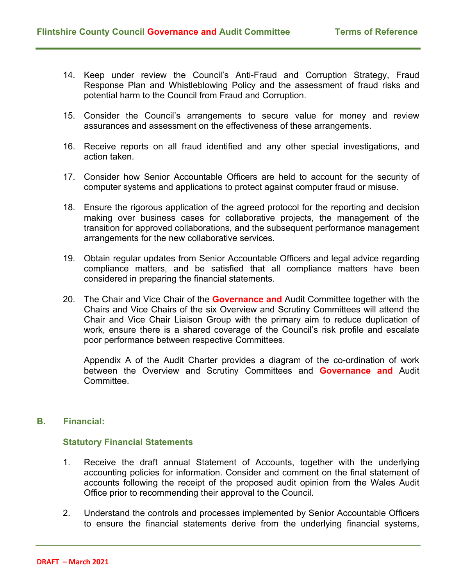- 14. Keep under review the Council's Anti-Fraud and Corruption Strategy, Fraud Response Plan and Whistleblowing Policy and the assessment of fraud risks and potential harm to the Council from Fraud and Corruption.
- 15. Consider the Council's arrangements to secure value for money and review assurances and assessment on the effectiveness of these arrangements.
- 16. Receive reports on all fraud identified and any other special investigations, and action taken.
- 17. Consider how Senior Accountable Officers are held to account for the security of computer systems and applications to protect against computer fraud or misuse.
- 18. Ensure the rigorous application of the agreed protocol for the reporting and decision making over business cases for collaborative projects, the management of the transition for approved collaborations, and the subsequent performance management arrangements for the new collaborative services.
- 19. Obtain regular updates from Senior Accountable Officers and legal advice regarding compliance matters, and be satisfied that all compliance matters have been considered in preparing the financial statements.
- 20. The Chair and Vice Chair of the **Governance and** Audit Committee together with the Chairs and Vice Chairs of the six Overview and Scrutiny Committees will attend the Chair and Vice Chair Liaison Group with the primary aim to reduce duplication of work, ensure there is a shared coverage of the Council's risk profile and escalate poor performance between respective Committees.

Appendix A of the Audit Charter provides a diagram of the co-ordination of work between the Overview and Scrutiny Committees and **Governance and** Audit **Committee** 

# **B. Financial:**

#### **Statutory Financial Statements**

- 1. Receive the draft annual Statement of Accounts, together with the underlying accounting policies for information. Consider and comment on the final statement of accounts following the receipt of the proposed audit opinion from the Wales Audit Office prior to recommending their approval to the Council.
- 2. Understand the controls and processes implemented by Senior Accountable Officers to ensure the financial statements derive from the underlying financial systems,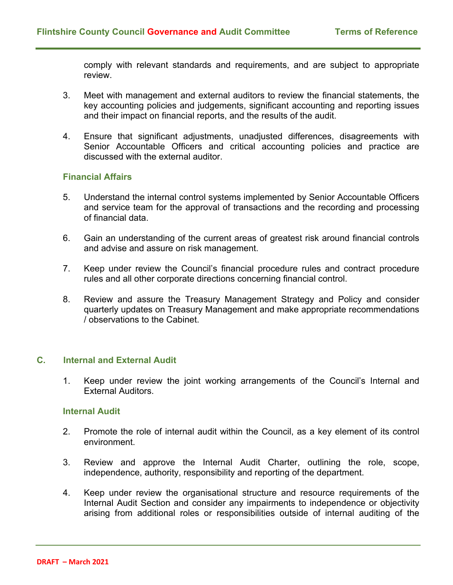comply with relevant standards and requirements, and are subject to appropriate review.

- 3. Meet with management and external auditors to review the financial statements, the key accounting policies and judgements, significant accounting and reporting issues and their impact on financial reports, and the results of the audit.
- 4. Ensure that significant adjustments, unadjusted differences, disagreements with Senior Accountable Officers and critical accounting policies and practice are discussed with the external auditor.

# **Financial Affairs**

- 5. Understand the internal control systems implemented by Senior Accountable Officers and service team for the approval of transactions and the recording and processing of financial data.
- 6. Gain an understanding of the current areas of greatest risk around financial controls and advise and assure on risk management.
- 7. Keep under review the Council's financial procedure rules and contract procedure rules and all other corporate directions concerning financial control.
- 8. Review and assure the Treasury Management Strategy and Policy and consider quarterly updates on Treasury Management and make appropriate recommendations / observations to the Cabinet.

#### **C. Internal and External Audit**

1. Keep under review the joint working arrangements of the Council's Internal and External Auditors.

#### **Internal Audit**

- 2. Promote the role of internal audit within the Council, as a key element of its control environment.
- 3. Review and approve the Internal Audit Charter, outlining the role, scope, independence, authority, responsibility and reporting of the department.
- 4. Keep under review the organisational structure and resource requirements of the Internal Audit Section and consider any impairments to independence or objectivity arising from additional roles or responsibilities outside of internal auditing of the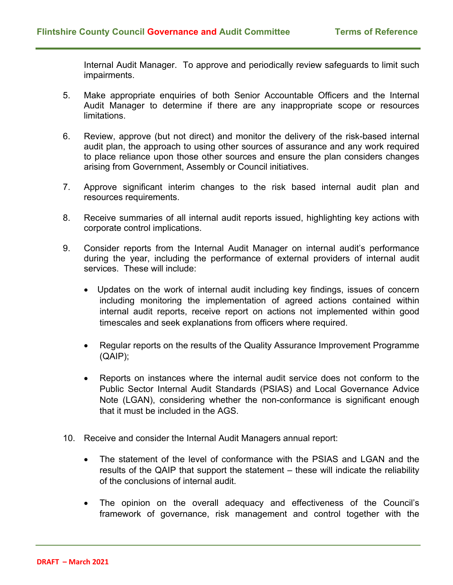Internal Audit Manager. To approve and periodically review safeguards to limit such impairments.

- 5. Make appropriate enquiries of both Senior Accountable Officers and the Internal Audit Manager to determine if there are any inappropriate scope or resources limitations.
- 6. Review, approve (but not direct) and monitor the delivery of the risk-based internal audit plan, the approach to using other sources of assurance and any work required to place reliance upon those other sources and ensure the plan considers changes arising from Government, Assembly or Council initiatives.
- 7. Approve significant interim changes to the risk based internal audit plan and resources requirements.
- 8. Receive summaries of all internal audit reports issued, highlighting key actions with corporate control implications.
- 9. Consider reports from the Internal Audit Manager on internal audit's performance during the year, including the performance of external providers of internal audit services. These will include:
	- Updates on the work of internal audit including key findings, issues of concern including monitoring the implementation of agreed actions contained within internal audit reports, receive report on actions not implemented within good timescales and seek explanations from officers where required.
	- Regular reports on the results of the Quality Assurance Improvement Programme (QAIP);
	- Reports on instances where the internal audit service does not conform to the Public Sector Internal Audit Standards (PSIAS) and Local Governance Advice Note (LGAN), considering whether the non-conformance is significant enough that it must be included in the AGS.
- 10. Receive and consider the Internal Audit Managers annual report:
	- The statement of the level of conformance with the PSIAS and LGAN and the results of the QAIP that support the statement – these will indicate the reliability of the conclusions of internal audit.
	- The opinion on the overall adequacy and effectiveness of the Council's framework of governance, risk management and control together with the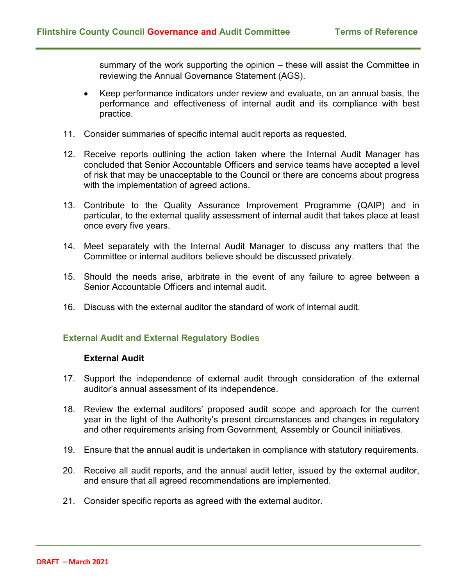summary of the work supporting the opinion – these will assist the Committee in reviewing the Annual Governance Statement (AGS).

- Keep performance indicators under review and evaluate, on an annual basis, the performance and effectiveness of internal audit and its compliance with best practice.
- 11. Consider summaries of specific internal audit reports as requested.
- 12. Receive reports outlining the action taken where the Internal Audit Manager has concluded that Senior Accountable Officers and service teams have accepted a level of risk that may be unacceptable to the Council or there are concerns about progress with the implementation of agreed actions.
- 13. Contribute to the Quality Assurance Improvement Programme (QAIP) and in particular, to the external quality assessment of internal audit that takes place at least once every five years.
- 14. Meet separately with the Internal Audit Manager to discuss any matters that the Committee or internal auditors believe should be discussed privately.
- 15. Should the needs arise, arbitrate in the event of any failure to agree between a Senior Accountable Officers and internal audit.
- 16. Discuss with the external auditor the standard of work of internal audit.

# **External Audit and External Regulatory Bodies**

#### **External Audit**

- 17. Support the independence of external audit through consideration of the external auditor's annual assessment of its independence.
- 18. Review the external auditors' proposed audit scope and approach for the current year in the light of the Authority's present circumstances and changes in regulatory and other requirements arising from Government, Assembly or Council initiatives.
- 19. Ensure that the annual audit is undertaken in compliance with statutory requirements.
- 20. Receive all audit reports, and the annual audit letter, issued by the external auditor, and ensure that all agreed recommendations are implemented.
- 21. Consider specific reports as agreed with the external auditor.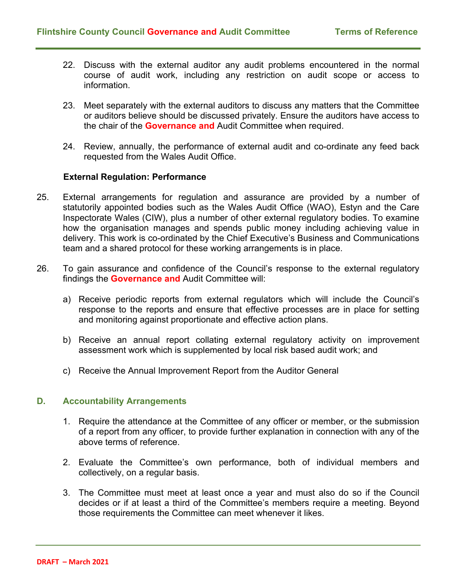- 22. Discuss with the external auditor any audit problems encountered in the normal course of audit work, including any restriction on audit scope or access to information.
- 23. Meet separately with the external auditors to discuss any matters that the Committee or auditors believe should be discussed privately. Ensure the auditors have access to the chair of the **Governance and** Audit Committee when required.
- 24. Review, annually, the performance of external audit and co-ordinate any feed back requested from the Wales Audit Office.

#### **External Regulation: Performance**

- 25. External arrangements for regulation and assurance are provided by a number of statutorily appointed bodies such as the Wales Audit Office (WAO), Estyn and the Care Inspectorate Wales (CIW), plus a number of other external regulatory bodies. To examine how the organisation manages and spends public money including achieving value in delivery. This work is co-ordinated by the Chief Executive's Business and Communications team and a shared protocol for these working arrangements is in place.
- 26. To gain assurance and confidence of the Council's response to the external regulatory findings the **Governance and** Audit Committee will:
	- a) Receive periodic reports from external regulators which will include the Council's response to the reports and ensure that effective processes are in place for setting and monitoring against proportionate and effective action plans.
	- b) Receive an annual report collating external regulatory activity on improvement assessment work which is supplemented by local risk based audit work; and
	- c) Receive the Annual Improvement Report from the Auditor General

#### **D. Accountability Arrangements**

- 1. Require the attendance at the Committee of any officer or member, or the submission of a report from any officer, to provide further explanation in connection with any of the above terms of reference.
- 2. Evaluate the Committee's own performance, both of individual members and collectively, on a regular basis.
- 3. The Committee must meet at least once a year and must also do so if the Council decides or if at least a third of the Committee's members require a meeting. Beyond those requirements the Committee can meet whenever it likes.